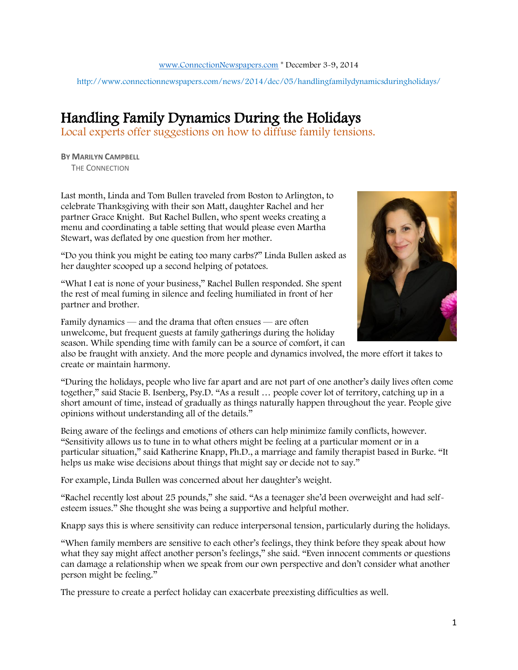[www.ConnectionNewspapers.com](http://www.connectionnewspapers.com/) \* December 3-9, 2014

http://www.connectionnewspapers.com/news/2014/dec/05/handlingfamilydynamicsduringholidays/

## Handling Family Dynamics During the Holidays

Local experts offer suggestions on how to diffuse family tensions.

**BY MARILYN CAMPBELL**  THE CONNECTION

Last month, Linda and Tom Bullen traveled from Boston to Arlington, to celebrate Thanksgiving with their son Matt, daughter Rachel and her partner Grace Knight. But Rachel Bullen, who spent weeks creating a menu and coordinating a table setting that would please even Martha Stewart, was deflated by one question from her mother.

"Do you think you might be eating too many carbs?" Linda Bullen asked as her daughter scooped up a second helping of potatoes.

"What I eat is none of your business," Rachel Bullen responded. She spent the rest of meal fuming in silence and feeling humiliated in front of her partner and brother.

Family dynamics — and the drama that often ensues — are often unwelcome, but frequent guests at family gatherings during the holiday season. While spending time with family can be a source of comfort, it can

also be fraught with anxiety. And the more people and dynamics involved, the more effort it takes to create or maintain harmony.

"During the holidays, people who live far apart and are not part of one another's daily lives often come together," said Stacie B. Isenberg, Psy.D. "As a result … people cover lot of territory, catching up in a short amount of time, instead of gradually as things naturally happen throughout the year. People give opinions without understanding all of the details."

Being aware of the feelings and emotions of others can help minimize family conflicts, however. "Sensitivity allows us to tune in to what others might be feeling at a particular moment or in a particular situation," said Katherine Knapp, Ph.D., a marriage and family therapist based in Burke. "It helps us make wise decisions about things that might say or decide not to say."

For example, Linda Bullen was concerned about her daughter's weight.

"Rachel recently lost about 25 pounds," she said. "As a teenager she'd been overweight and had selfesteem issues." She thought she was being a supportive and helpful mother.

Knapp says this is where sensitivity can reduce interpersonal tension, particularly during the holidays.

"When family members are sensitive to each other's feelings, they think before they speak about how what they say might affect another person's feelings," she said. "Even innocent comments or questions can damage a relationship when we speak from our own perspective and don't consider what another person might be feeling."

The pressure to create a perfect holiday can exacerbate preexisting difficulties as well.